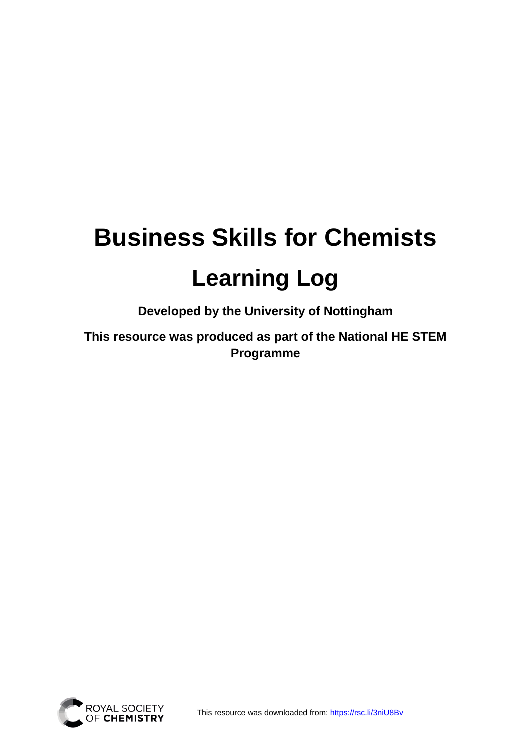# **Business Skills for Chemists Learning Log**

**Developed by the University of Nottingham**

**This resource was produced as part of the National HE STEM Programme** 

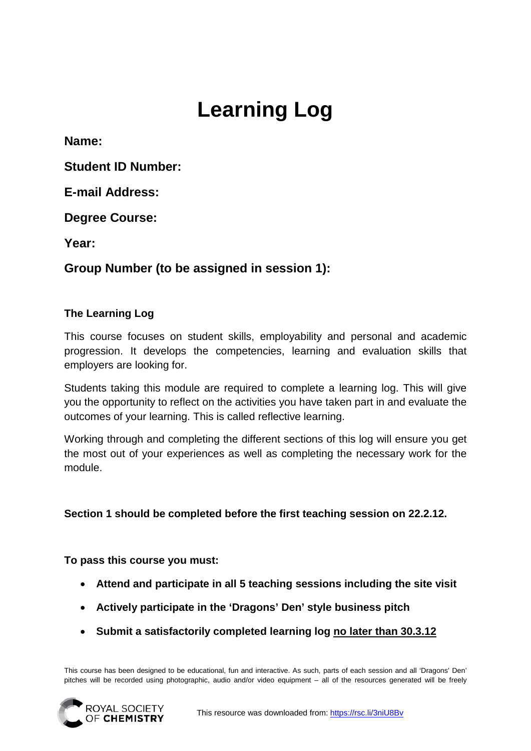# **Learning Log**

**Name:**

**Student ID Number:**

**E-mail Address:**

**Degree Course:**

**Year:**

#### **Group Number (to be assigned in session 1):**

#### **The Learning Log**

This course focuses on student skills, employability and personal and academic progression. It develops the competencies, learning and evaluation skills that employers are looking for.

Students taking this module are required to complete a learning log. This will give you the opportunity to reflect on the activities you have taken part in and evaluate the outcomes of your learning. This is called reflective learning.

Working through and completing the different sections of this log will ensure you get the most out of your experiences as well as completing the necessary work for the module.

**Section 1 should be completed before the first teaching session on 22.2.12.**

**To pass this course you must:**

- **Attend and participate in all 5 teaching sessions including the site visit**
- **Actively participate in the 'Dragons' Den' style business pitch**
- **Submit a satisfactorily completed learning log no later than 30.3.12**

This course has been designed to be educational, fun and interactive. As such, parts of each session and all 'Dragons' Den' pitches will be recorded using photographic, audio and/or video equipment – all of the resources generated will be freely

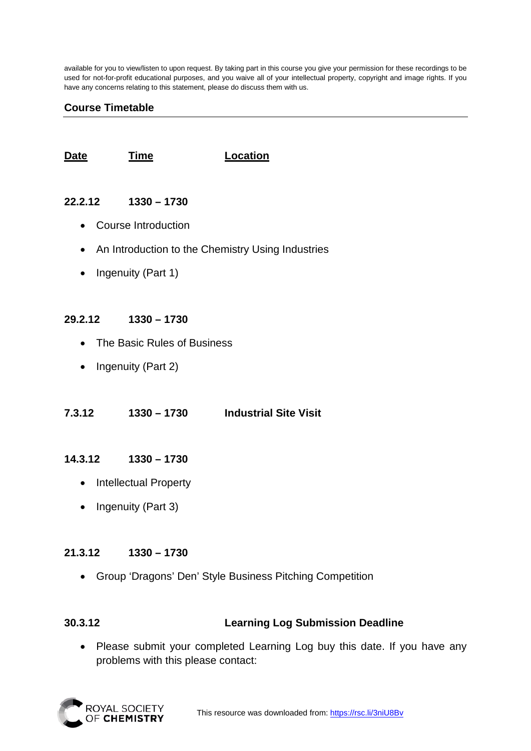available for you to view/listen to upon request. By taking part in this course you give your permission for these recordings to be used for not-for-profit educational purposes, and you waive all of your intellectual property, copyright and image rights. If you have any concerns relating to this statement, please do discuss them with us.

#### **Course Timetable**

**Date Time Location**

#### **22.2.12 1330 – 1730**

- Course Introduction
- An Introduction to the Chemistry Using Industries
- Ingenuity (Part 1)

#### **29.2.12 1330 – 1730**

- The Basic Rules of Business
- Ingenuity (Part 2)

**7.3.12 1330 – 1730 Industrial Site Visit** 

#### **14.3.12 1330 – 1730**

- Intellectual Property
- Ingenuity (Part 3)

#### **21.3.12 1330 – 1730**

• Group 'Dragons' Den' Style Business Pitching Competition

#### **30.3.12 Learning Log Submission Deadline**

• Please submit your completed Learning Log buy this date. If you have any problems with this please contact:

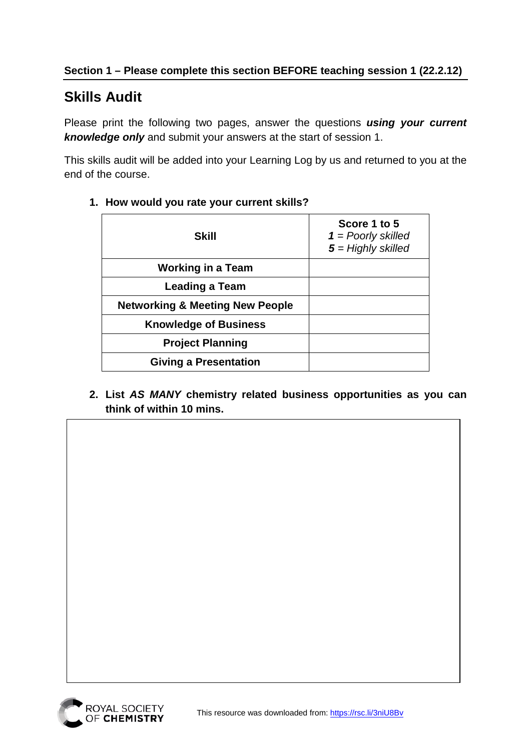## **Skills Audit**

Please print the following two pages, answer the questions *using your current knowledge only* and submit your answers at the start of session 1.

This skills audit will be added into your Learning Log by us and returned to you at the end of the course.

| Skill                                      | Score 1 to 5<br>$1 =$ Poorly skilled<br>$5 =$ Highly skilled |
|--------------------------------------------|--------------------------------------------------------------|
| Working in a Team                          |                                                              |
| <b>Leading a Team</b>                      |                                                              |
| <b>Networking &amp; Meeting New People</b> |                                                              |
| <b>Knowledge of Business</b>               |                                                              |
| <b>Project Planning</b>                    |                                                              |
| <b>Giving a Presentation</b>               |                                                              |

#### **1. How would you rate your current skills?**

**2. List** *AS MANY* **chemistry related business opportunities as you can think of within 10 mins.**



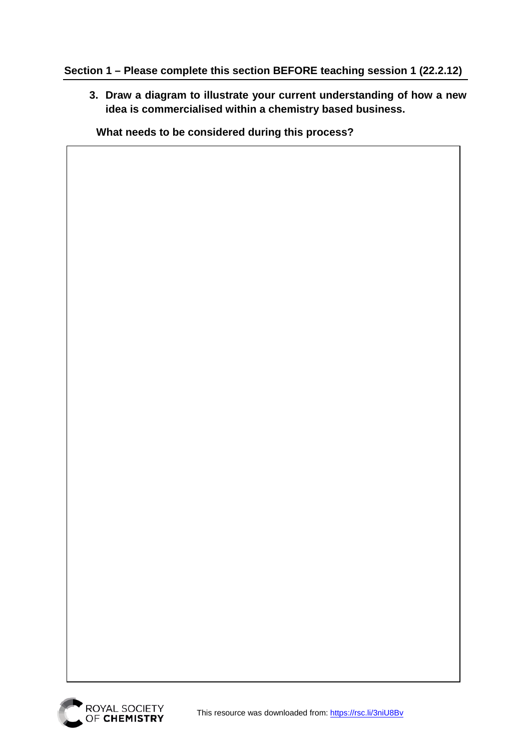#### **Section 1 – Please complete this section BEFORE teaching session 1 (22.2.12)**

**3. Draw a diagram to illustrate your current understanding of how a new idea is commercialised within a chemistry based business.** 

**What needs to be considered during this process?**

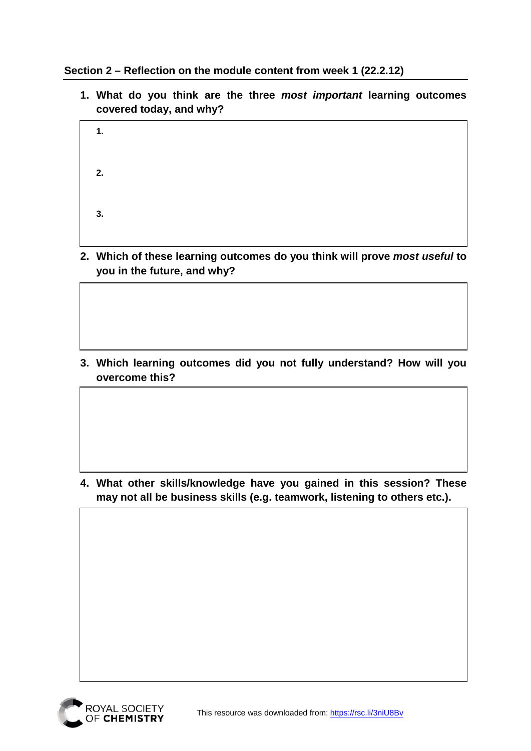**Section 2 – Reflection on the module content from week 1 (22.2.12)**

**1. What do you think are the three** *most important* **learning outcomes covered today, and why?**

| 1. |  |  |  |
|----|--|--|--|
| 2. |  |  |  |
| 3. |  |  |  |

**2. Which of these learning outcomes do you think will prove** *most useful* **to you in the future, and why?**

**3. Which learning outcomes did you not fully understand? How will you overcome this?**

**4. What other skills/knowledge have you gained in this session? These may not all be business skills (e.g. teamwork, listening to others etc.).**

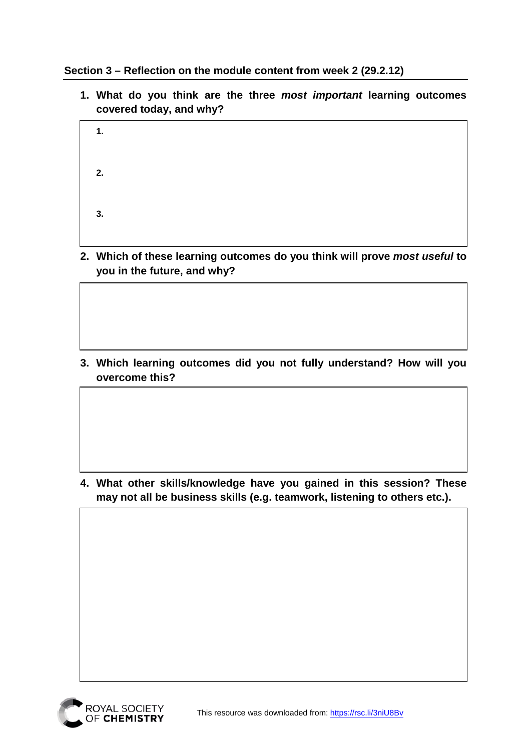**Section 3 – Reflection on the module content from week 2 (29.2.12)**

**1. What do you think are the three** *most important* **learning outcomes covered today, and why?**

| 1. |  |  |  |
|----|--|--|--|
| 2. |  |  |  |
| 3. |  |  |  |

**2. Which of these learning outcomes do you think will prove** *most useful* **to you in the future, and why?**

**3. Which learning outcomes did you not fully understand? How will you overcome this?**

**4. What other skills/knowledge have you gained in this session? These may not all be business skills (e.g. teamwork, listening to others etc.).**

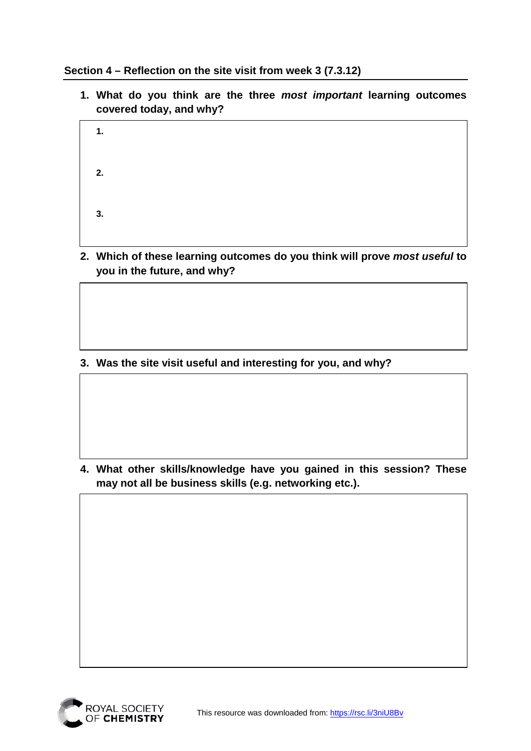**Section 4 – Reflection on the site visit from week 3 (7.3.12)**

**1. What do you think are the three** *most important* **learning outcomes covered today, and why?**

| 1. |  |  |  |
|----|--|--|--|
| 2. |  |  |  |
| 3. |  |  |  |

**2. Which of these learning outcomes do you think will prove** *most useful* **to you in the future, and why?**

**3. Was the site visit useful and interesting for you, and why?**

**4. What other skills/knowledge have you gained in this session? These may not all be business skills (e.g. networking etc.).**

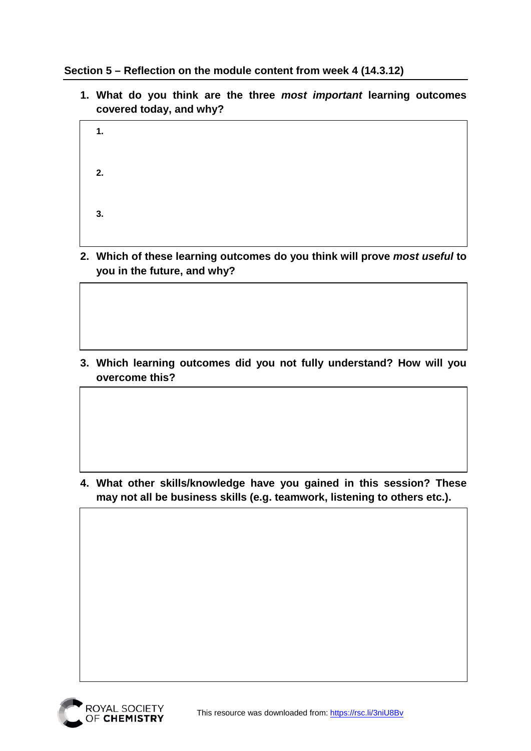**Section 5 – Reflection on the module content from week 4 (14.3.12)**

**1. What do you think are the three** *most important* **learning outcomes covered today, and why?**

| 1. |  |  |  |
|----|--|--|--|
| 2. |  |  |  |
| 3. |  |  |  |

**2. Which of these learning outcomes do you think will prove** *most useful* **to you in the future, and why?**

**3. Which learning outcomes did you not fully understand? How will you overcome this?**

**4. What other skills/knowledge have you gained in this session? These may not all be business skills (e.g. teamwork, listening to others etc.).**

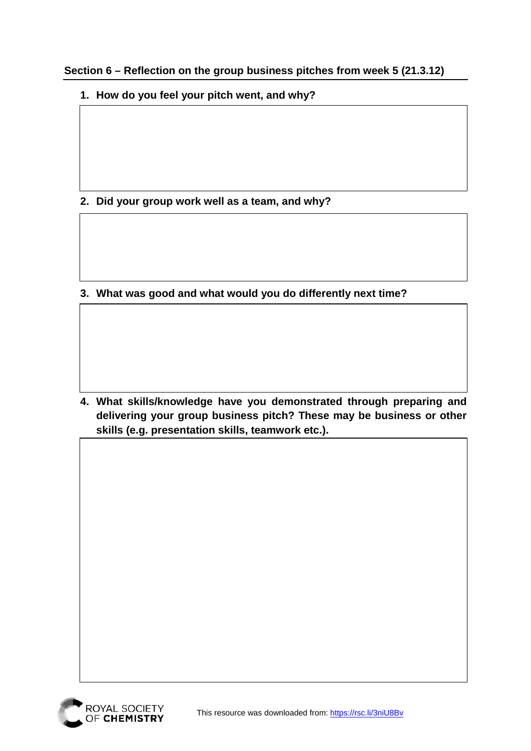**Section 6 – Reflection on the group business pitches from week 5 (21.3.12)**

**1. How do you feel your pitch went, and why?**

**2. Did your group work well as a team, and why?** 

**3. What was good and what would you do differently next time?**

**4. What skills/knowledge have you demonstrated through preparing and delivering your group business pitch? These may be business or other skills (e.g. presentation skills, teamwork etc.).**

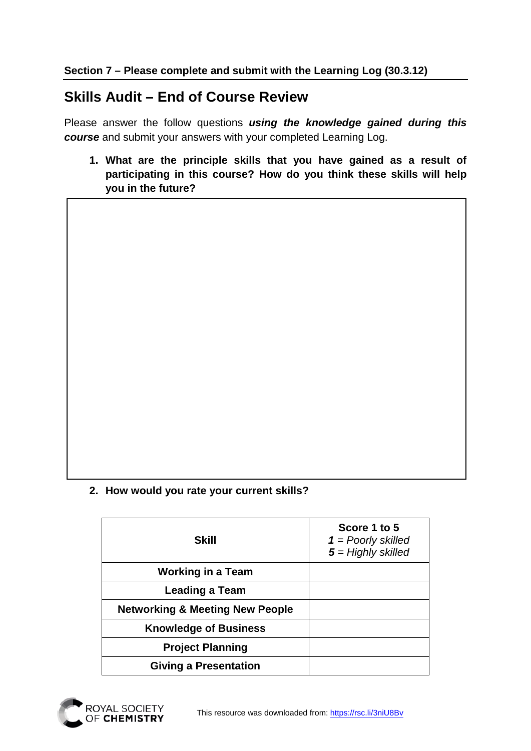### **Skills Audit – End of Course Review**

Please answer the follow questions *using the knowledge gained during this course* and submit your answers with your completed Learning Log.

**1. What are the principle skills that you have gained as a result of participating in this course? How do you think these skills will help you in the future?**

#### **2. How would you rate your current skills?**

| Skill                                      | Score 1 to 5<br>$1 =$ Poorly skilled<br>$5 =$ Highly skilled |
|--------------------------------------------|--------------------------------------------------------------|
| <b>Working in a Team</b>                   |                                                              |
| <b>Leading a Team</b>                      |                                                              |
| <b>Networking &amp; Meeting New People</b> |                                                              |
| <b>Knowledge of Business</b>               |                                                              |
| <b>Project Planning</b>                    |                                                              |
| <b>Giving a Presentation</b>               |                                                              |
|                                            |                                                              |

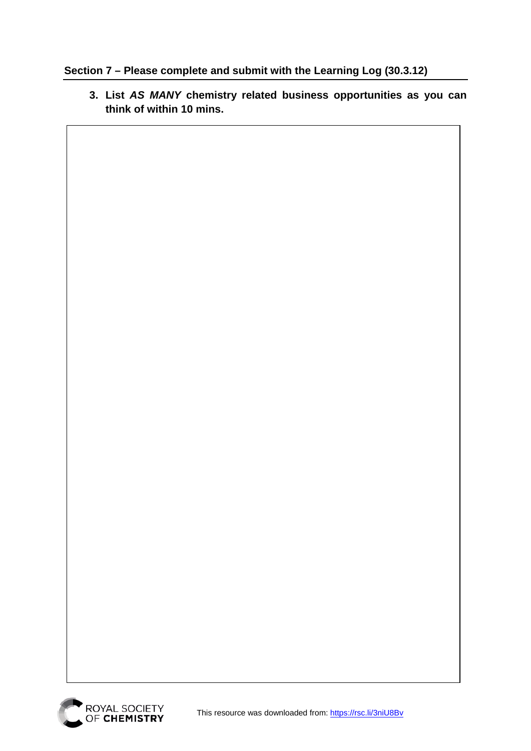#### **Section 7 – Please complete and submit with the Learning Log (30.3.12)**

**3. List** *AS MANY* **chemistry related business opportunities as you can think of within 10 mins.**

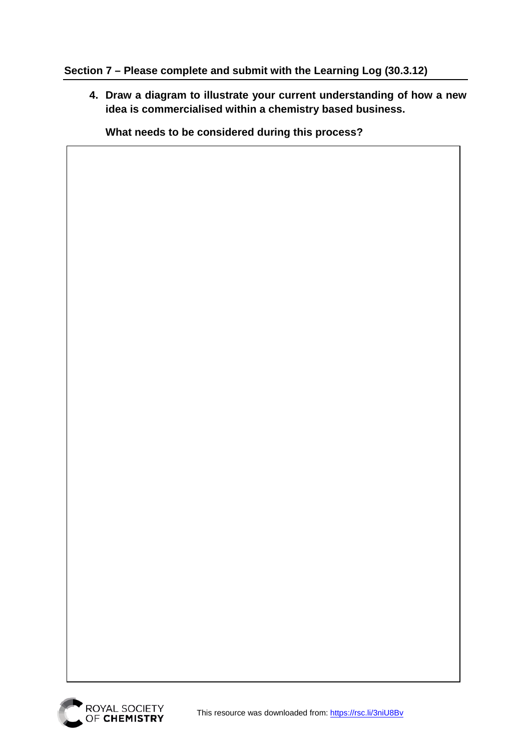#### **Section 7 – Please complete and submit with the Learning Log (30.3.12)**

**4. Draw a diagram to illustrate your current understanding of how a new idea is commercialised within a chemistry based business.** 

**What needs to be considered during this process?**